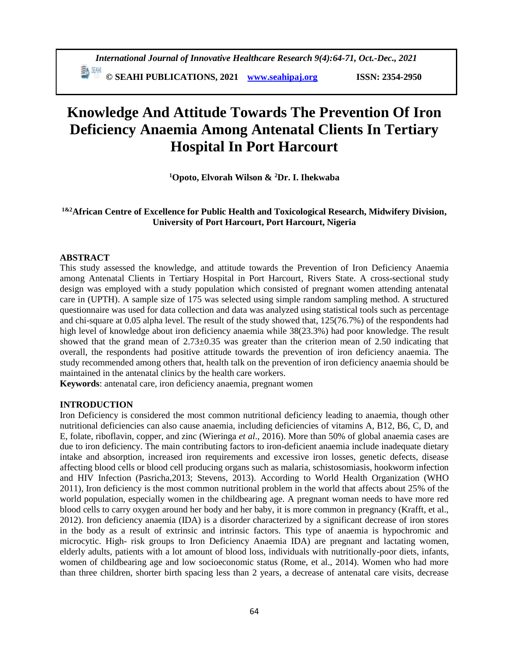# **Knowledge And Attitude Towards The Prevention Of Iron Deficiency Anaemia Among Antenatal Clients In Tertiary Hospital In Port Harcourt**

**<sup>1</sup>Opoto, Elvorah Wilson & <sup>2</sup>Dr. I. Ihekwaba**

### **1&2African Centre of Excellence for Public Health and Toxicological Research, Midwifery Division, University of Port Harcourt, Port Harcourt, Nigeria**

### **ABSTRACT**

This study assessed the knowledge, and attitude towards the Prevention of Iron Deficiency Anaemia among Antenatal Clients in Tertiary Hospital in Port Harcourt, Rivers State. A cross-sectional study design was employed with a study population which consisted of pregnant women attending antenatal care in (UPTH). A sample size of 175 was selected using simple random sampling method. A structured questionnaire was used for data collection and data was analyzed using statistical tools such as percentage and chi-square at 0.05 alpha level. The result of the study showed that, 125(76.7%) of the respondents had high level of knowledge about iron deficiency anaemia while  $38(23.3%)$  had poor knowledge. The result showed that the grand mean of  $2.73\pm0.35$  was greater than the criterion mean of 2.50 indicating that overall, the respondents had positive attitude towards the prevention of iron deficiency anaemia. The study recommended among others that, health talk on the prevention of iron deficiency anaemia should be maintained in the antenatal clinics by the health care workers.

**Keywords**: antenatal care, iron deficiency anaemia, pregnant women

### **INTRODUCTION**

Iron Deficiency is considered the most common nutritional deficiency leading to anaemia, though other nutritional deficiencies can also cause anaemia, including deficiencies of vitamins A, B12, B6, C, D, and E, folate, riboflavin, copper, and zinc (Wieringa *et al*., 2016). More than 50% of global anaemia cases are due to iron deficiency. The main contributing factors to iron-deficient anaemia include inadequate dietary intake and absorption, increased iron requirements and excessive iron losses, genetic defects, disease affecting blood cells or blood cell producing organs such as malaria, schistosomiasis, hookworm infection and HIV Infection (Pasricha,2013; Stevens, 2013). According to World Health Organization (WHO 2011), Iron deficiency is the most common nutritional problem in the world that affects about 25% of the world population, especially women in the childbearing age. A pregnant woman needs to have more red blood cells to carry oxygen around her body and her baby, it is more common in pregnancy (Krafft, et al., 2012). Iron deficiency anaemia (IDA) is a disorder characterized by a significant decrease of iron stores in the body as a result of extrinsic and intrinsic factors. This type of anaemia is hypochromic and microcytic. High- risk groups to Iron Deficiency Anaemia IDA) are pregnant and lactating women, elderly adults, patients with a lot amount of blood loss, individuals with nutritionally-poor diets, infants, women of childbearing age and low socioeconomic status (Rome, et al., 2014). Women who had more than three children, shorter birth spacing less than 2 years, a decrease of antenatal care visits, decrease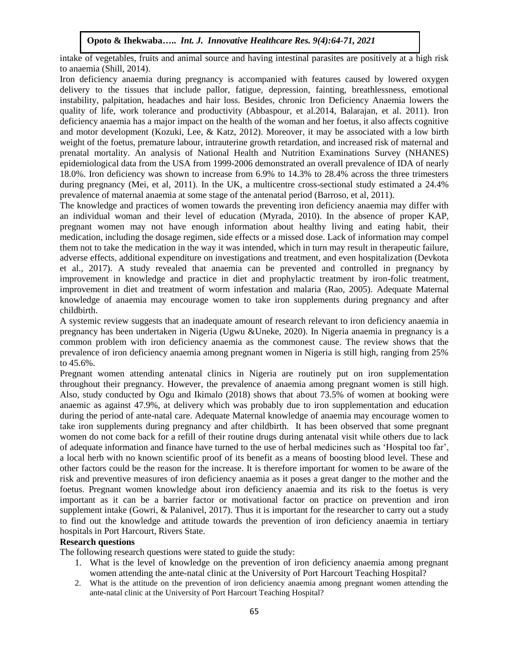intake of vegetables, fruits and animal source and having intestinal parasites are positively at a high risk to anaemia (Shill, 2014).

Iron deficiency anaemia during pregnancy is accompanied with features caused by lowered oxygen delivery to the tissues that include pallor, fatigue, depression, fainting, breathlessness, emotional instability, palpitation, headaches and hair loss. Besides, chronic Iron Deficiency Anaemia lowers the quality of life, work tolerance and productivity (Abbaspour, et al.2014, Balarajan, et al. 2011). Iron deficiency anaemia has a major impact on the health of the woman and her foetus, it also affects cognitive and motor development (Kozuki, Lee, & Katz, 2012). Moreover, it may be associated with a low birth weight of the foetus, premature labour, intrauterine growth retardation, and increased risk of maternal and prenatal mortality. An analysis of National Health and Nutrition Examinations Survey (NHANES) epidemiological data from the USA from 1999-2006 demonstrated an overall prevalence of IDA of nearly 18.0%. Iron deficiency was shown to increase from 6.9% to 14.3% to 28.4% across the three trimesters during pregnancy (Mei, et al, 2011). In the UK, a multicentre cross-sectional study estimated a 24.4% prevalence of maternal anaemia at some stage of the antenatal period (Barroso, et al, 2011).

The knowledge and practices of women towards the preventing iron deficiency anaemia may differ with an individual woman and their level of education (Myrada, 2010). In the absence of proper KAP, pregnant women may not have enough information about healthy living and eating habit, their medication, including the dosage regimen, side effects or a missed dose. Lack of information may compel them not to take the medication in the way it was intended, which in turn may result in therapeutic failure, adverse effects, additional expenditure on investigations and treatment, and even hospitalization (Devkota et al., 2017). A study revealed that anaemia can be prevented and controlled in pregnancy by improvement in knowledge and practice in diet and prophylactic treatment by iron-folic treatment, improvement in diet and treatment of worm infestation and malaria (Rao, 2005). Adequate Maternal knowledge of anaemia may encourage women to take iron supplements during pregnancy and after childbirth.

A systemic review suggests that an inadequate amount of research relevant to iron deficiency anaemia in pregnancy has been undertaken in Nigeria (Ugwu &Uneke, 2020). In Nigeria anaemia in pregnancy is a common problem with iron deficiency anaemia as the commonest cause. The review shows that the prevalence of iron deficiency anaemia among pregnant women in Nigeria is still high, ranging from 25% to 45.6%.

Pregnant women attending antenatal clinics in Nigeria are routinely put on iron supplementation throughout their pregnancy. However, the prevalence of anaemia among pregnant women is still high. Also, study conducted by Ogu and Ikimalo (2018) shows that about 73.5% of women at booking were anaemic as against 47.9%, at delivery which was probably due to iron supplementation and education during the period of ante-natal care. Adequate Maternal knowledge of anaemia may encourage women to take iron supplements during pregnancy and after childbirth. It has been observed that some pregnant women do not come back for a refill of their routine drugs during antenatal visit while others due to lack of adequate information and finance have turned to the use of herbal medicines such as 'Hospital too far', a local herb with no known scientific proof of its benefit as a means of boosting blood level. These and other factors could be the reason for the increase. It is therefore important for women to be aware of the risk and preventive measures of iron deficiency anaemia as it poses a great danger to the mother and the foetus. Pregnant women knowledge about iron deficiency anaemia and its risk to the foetus is very important as it can be a barrier factor or motivational factor on practice on prevention and iron supplement intake (Gowri, & Palanivel, 2017). Thus it is important for the researcher to carry out a study to find out the knowledge and attitude towards the prevention of iron deficiency anaemia in tertiary hospitals in Port Harcourt, Rivers State.

### **Research questions**

The following research questions were stated to guide the study:

- 1. What is the level of knowledge on the prevention of iron deficiency anaemia among pregnant women attending the ante-natal clinic at the University of Port Harcourt Teaching Hospital?
- 2. What is the attitude on the prevention of iron deficiency anaemia among pregnant women attending the ante-natal clinic at the University of Port Harcourt Teaching Hospital?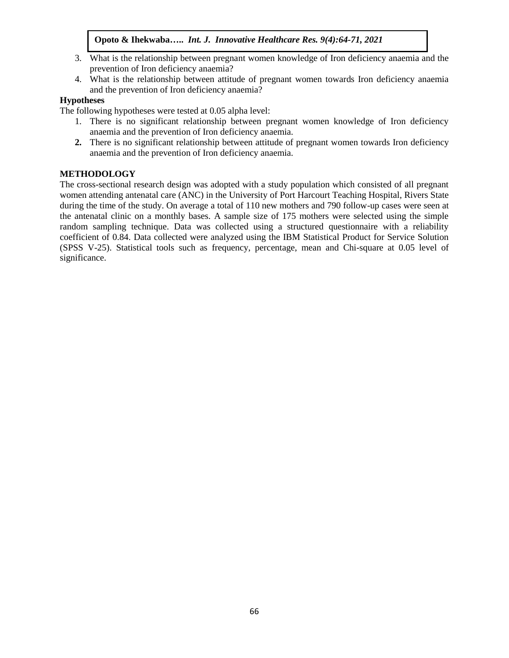- 3. What is the relationship between pregnant women knowledge of Iron deficiency anaemia and the prevention of Iron deficiency anaemia?
- 4. What is the relationship between attitude of pregnant women towards Iron deficiency anaemia and the prevention of Iron deficiency anaemia?

### **Hypotheses**

The following hypotheses were tested at 0.05 alpha level:

- 1. There is no significant relationship between pregnant women knowledge of Iron deficiency anaemia and the prevention of Iron deficiency anaemia.
- **2.** There is no significant relationship between attitude of pregnant women towards Iron deficiency anaemia and the prevention of Iron deficiency anaemia.

## **METHODOLOGY**

The cross-sectional research design was adopted with a study population which consisted of all pregnant women attending antenatal care (ANC) in the University of Port Harcourt Teaching Hospital, Rivers State during the time of the study. On average a total of 110 new mothers and 790 follow-up cases were seen at the antenatal clinic on a monthly bases. A sample size of 175 mothers were selected using the simple random sampling technique. Data was collected using a structured questionnaire with a reliability coefficient of 0.84. Data collected were analyzed using the IBM Statistical Product for Service Solution (SPSS V-25). Statistical tools such as frequency, percentage, mean and Chi-square at 0.05 level of significance.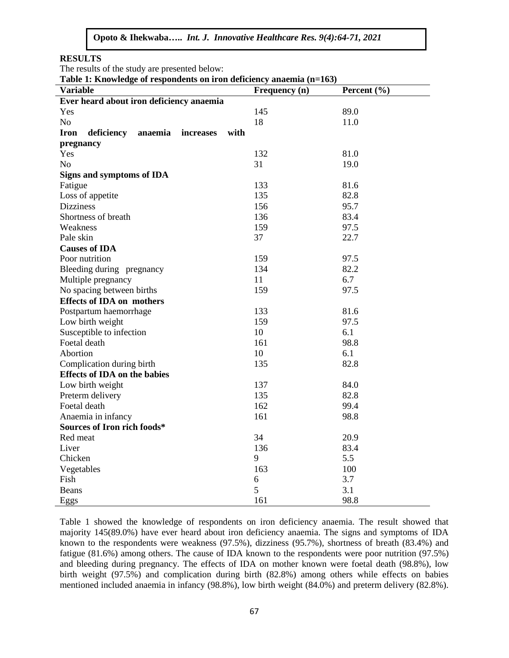**RESULTS**

The results of the study are presented below:

**Table 1: Knowledge of respondents on iron deficiency anaemia (n=163)**

| <b>Table 1. Knowledge of respondents on from deficiency anaelina</b> (n–103) |                      |             |  |  |  |  |  |
|------------------------------------------------------------------------------|----------------------|-------------|--|--|--|--|--|
| <b>Variable</b>                                                              | <b>Frequency</b> (n) | Percent (%) |  |  |  |  |  |
| Ever heard about iron deficiency anaemia                                     |                      |             |  |  |  |  |  |
| Yes                                                                          | 145                  | 89.0        |  |  |  |  |  |
| N <sub>o</sub>                                                               | 18                   | 11.0        |  |  |  |  |  |
| deficiency<br>with<br>Iron<br>anaemia<br>increases                           |                      |             |  |  |  |  |  |
| pregnancy                                                                    |                      |             |  |  |  |  |  |
| Yes                                                                          | 132                  | 81.0        |  |  |  |  |  |
| N <sub>o</sub>                                                               | 31                   | 19.0        |  |  |  |  |  |
| <b>Signs and symptoms of IDA</b>                                             |                      |             |  |  |  |  |  |
| Fatigue                                                                      | 133                  | 81.6        |  |  |  |  |  |
| Loss of appetite                                                             | 135                  | 82.8        |  |  |  |  |  |
| <b>Dizziness</b>                                                             | 156                  | 95.7        |  |  |  |  |  |
| Shortness of breath                                                          | 136                  | 83.4        |  |  |  |  |  |
| Weakness                                                                     | 159                  | 97.5        |  |  |  |  |  |
| Pale skin                                                                    | 37                   | 22.7        |  |  |  |  |  |
| <b>Causes of IDA</b>                                                         |                      |             |  |  |  |  |  |
| Poor nutrition                                                               | 159                  | 97.5        |  |  |  |  |  |
| Bleeding during pregnancy                                                    | 134                  | 82.2        |  |  |  |  |  |
| Multiple pregnancy                                                           | 11                   | 6.7         |  |  |  |  |  |
| No spacing between births                                                    | 159                  | 97.5        |  |  |  |  |  |
| <b>Effects of IDA on mothers</b>                                             |                      |             |  |  |  |  |  |
| Postpartum haemorrhage                                                       | 133                  | 81.6        |  |  |  |  |  |
| Low birth weight                                                             | 159                  | 97.5        |  |  |  |  |  |
| Susceptible to infection                                                     | 10                   | 6.1         |  |  |  |  |  |
| Foetal death                                                                 | 161                  | 98.8        |  |  |  |  |  |
| Abortion                                                                     | 10                   | 6.1         |  |  |  |  |  |
| Complication during birth                                                    | 135                  | 82.8        |  |  |  |  |  |
| <b>Effects of IDA on the babies</b>                                          |                      |             |  |  |  |  |  |
| Low birth weight                                                             | 137                  | 84.0        |  |  |  |  |  |
| Preterm delivery                                                             | 135                  | 82.8        |  |  |  |  |  |
| Foetal death                                                                 | 162                  | 99.4        |  |  |  |  |  |
| Anaemia in infancy                                                           | 161                  | 98.8        |  |  |  |  |  |
| Sources of Iron rich foods*                                                  |                      |             |  |  |  |  |  |
| Red meat                                                                     | 34                   | 20.9        |  |  |  |  |  |
| Liver                                                                        | 136                  | 83.4        |  |  |  |  |  |
| Chicken                                                                      | 9                    | 5.5         |  |  |  |  |  |
| Vegetables                                                                   | 163                  | 100         |  |  |  |  |  |
| Fish                                                                         | 6                    | 3.7         |  |  |  |  |  |
| Beans                                                                        | 5                    | 3.1         |  |  |  |  |  |
| Eggs                                                                         | 161                  | 98.8        |  |  |  |  |  |

Table 1 showed the knowledge of respondents on iron deficiency anaemia. The result showed that majority 145(89.0%) have ever heard about iron deficiency anaemia. The signs and symptoms of IDA known to the respondents were weakness (97.5%), dizziness (95.7%), shortness of breath (83.4%) and fatigue (81.6%) among others. The cause of IDA known to the respondents were poor nutrition (97.5%) and bleeding during pregnancy. The effects of IDA on mother known were foetal death (98.8%), low birth weight (97.5%) and complication during birth (82.8%) among others while effects on babies mentioned included anaemia in infancy (98.8%), low birth weight (84.0%) and preterm delivery (82.8%).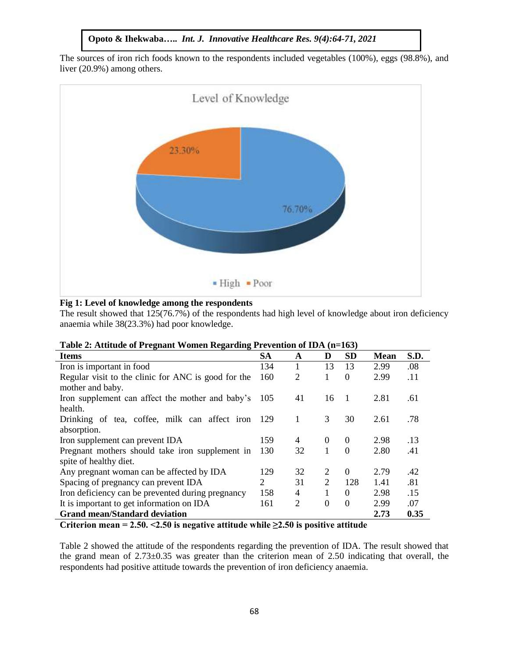The sources of iron rich foods known to the respondents included vegetables (100%), eggs (98.8%), and liver (20.9%) among others.



### **Fig 1: Level of knowledge among the respondents**

The result showed that 125(76.7%) of the respondents had high level of knowledge about iron deficiency anaemia while 38(23.3%) had poor knowledge.

| <b>Items</b>                                        | <b>SA</b> | A              | D            | <b>SD</b>      | <b>Mean</b> | S.D. |
|-----------------------------------------------------|-----------|----------------|--------------|----------------|-------------|------|
| Iron is important in food                           | 134       | 1              | 13           | 13             | 2.99        | .08  |
| Regular visit to the clinic for ANC is good for the | 160       | 2              |              | $\Omega$       | 2.99        | .11  |
| mother and baby.                                    |           |                |              |                |             |      |
| Iron supplement can affect the mother and baby's    | 105       | 41             | 16           | $\overline{1}$ | 2.81        | .61  |
| health.                                             |           |                |              |                |             |      |
| Drinking of tea, coffee, milk can affect iron       | -129      | 1              | 3            | 30             | 2.61        | .78  |
| absorption.                                         |           |                |              |                |             |      |
| Iron supplement can prevent IDA                     | 159       | 4              | $\theta$     | $\Omega$       | 2.98        | .13  |
| Pregnant mothers should take iron supplement in     | 130       | 32             | $\mathbf{1}$ | $\Omega$       | 2.80        | .41  |
| spite of healthy diet.                              |           |                |              |                |             |      |
| Any pregnant woman can be affected by IDA           | 129       | 32             | 2            | $\theta$       | 2.79        | .42  |
| Spacing of pregnancy can prevent IDA                | 2         | 31             | 2            | 128            | 1.41        | .81  |
| Iron deficiency can be prevented during pregnancy   | 158       | 4              |              | $\Omega$       | 2.98        | .15  |
| It is important to get information on IDA           | 161       | $\overline{2}$ | $\theta$     | $\Omega$       | 2.99        | .07  |
| <b>Grand mean/Standard deviation</b>                |           |                |              |                | 2.73        | 0.35 |

**Criterion mean = 2.50. <2.50 is negative attitude while ≥2.50 is positive attitude** 

Table 2 showed the attitude of the respondents regarding the prevention of IDA. The result showed that the grand mean of 2.73±0.35 was greater than the criterion mean of 2.50 indicating that overall, the respondents had positive attitude towards the prevention of iron deficiency anaemia.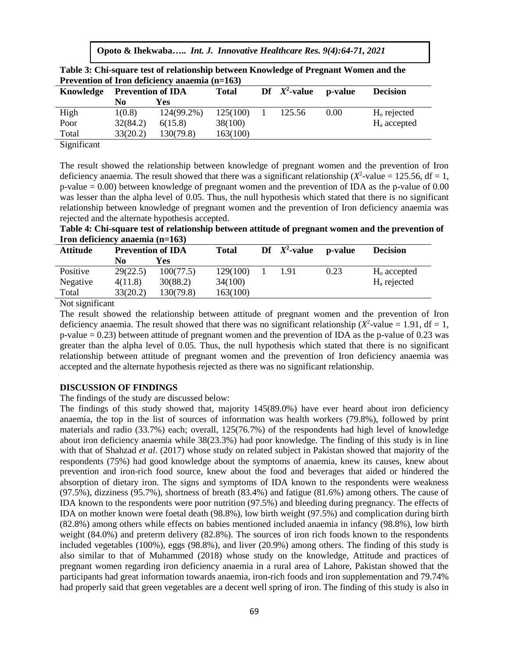**Opoto & Ihekwaba…..** *Int. J. Innovative Healthcare Res. 9(4):64-71, 2021*

| Prevention of Iron deficiency anaemia $(n=163)$ |                          |            |              |  |                 |         |                         |  |
|-------------------------------------------------|--------------------------|------------|--------------|--|-----------------|---------|-------------------------|--|
| Knowledge                                       | <b>Prevention of IDA</b> |            | <b>Total</b> |  | Df $X^2$ -value | p-value | <b>Decision</b>         |  |
|                                                 | N0                       | Yes        |              |  |                 |         |                         |  |
| High                                            | 1(0.8)                   | 124(99.2%) | 125(100)     |  | 125.56          | 0.00    | $Ho$ rejected           |  |
| Poor                                            | 32(84.2)                 | 6(15.8)    | 38(100)      |  |                 |         | H <sub>a</sub> accepted |  |
| Total                                           | 33(20.2)                 | 130(79.8)  | 163(100)     |  |                 |         |                         |  |
|                                                 |                          |            |              |  |                 |         |                         |  |

**Table 3: Chi-square test of relationship between Knowledge of Pregnant Women and the** 

Significant

The result showed the relationship between knowledge of pregnant women and the prevention of Iron deficiency anaemia. The result showed that there was a significant relationship ( $X^2$ -value = 125.56, df = 1, p-value = 0.00) between knowledge of pregnant women and the prevention of IDA as the p-value of 0.00 was lesser than the alpha level of 0.05. Thus, the null hypothesis which stated that there is no significant relationship between knowledge of pregnant women and the prevention of Iron deficiency anaemia was rejected and the alternate hypothesis accepted.

| Table 4: Chi-square test of relationship between attitude of pregnant women and the prevention of |  |
|---------------------------------------------------------------------------------------------------|--|
| Iron deficiency anaemia $(n=163)$                                                                 |  |

| <b>Attitude</b> | <b>Prevention of IDA</b> |           | <b>Total</b> | Df | $X^2$ -value | p-value | <b>Decision</b> |
|-----------------|--------------------------|-----------|--------------|----|--------------|---------|-----------------|
|                 | No                       | Yes       |              |    |              |         |                 |
| Positive        | 29(22.5)                 | 100(77.5) | 129(100)     |    | 191          | 0.23    | $Ho$ accepted   |
| Negative        | 4(11.8)                  | 30(88.2)  | 34(100)      |    |              |         | $Ha$ rejected   |
| Total           | 33(20.2)                 | 130(79.8) | 163(100)     |    |              |         |                 |

Not significant

The result showed the relationship between attitude of pregnant women and the prevention of Iron deficiency anaemia. The result showed that there was no significant relationship  $(X^2$ -value = 1.91, df = 1, p-value  $= 0.23$ ) between attitude of pregnant women and the prevention of IDA as the p-value of 0.23 was greater than the alpha level of 0.05. Thus, the null hypothesis which stated that there is no significant relationship between attitude of pregnant women and the prevention of Iron deficiency anaemia was accepted and the alternate hypothesis rejected as there was no significant relationship.

### **DISCUSSION OF FINDINGS**

The findings of the study are discussed below:

The findings of this study showed that, majority 145(89.0%) have ever heard about iron deficiency anaemia, the top in the list of sources of information was health workers (79.8%), followed by print materials and radio (33.7%) each; overall, 125(76.7%) of the respondents had high level of knowledge about iron deficiency anaemia while 38(23.3%) had poor knowledge. The finding of this study is in line with that of Shahzad *et al*. (2017) whose study on related subject in Pakistan showed that majority of the respondents (75%) had good knowledge about the symptoms of anaemia, knew its causes, knew about prevention and iron-rich food source, knew about the food and beverages that aided or hindered the absorption of dietary iron. The signs and symptoms of IDA known to the respondents were weakness (97.5%), dizziness (95.7%), shortness of breath (83.4%) and fatigue (81.6%) among others. The cause of IDA known to the respondents were poor nutrition (97.5%) and bleeding during pregnancy. The effects of IDA on mother known were foetal death (98.8%), low birth weight (97.5%) and complication during birth (82.8%) among others while effects on babies mentioned included anaemia in infancy (98.8%), low birth weight (84.0%) and preterm delivery (82.8%). The sources of iron rich foods known to the respondents included vegetables (100%), eggs (98.8%), and liver (20.9%) among others. The finding of this study is also similar to that of Muhammed (2018) whose study on the knowledge, Attitude and practices of pregnant women regarding iron deficiency anaemia in a rural area of Lahore, Pakistan showed that the participants had great information towards anaemia, iron-rich foods and iron supplementation and 79.74% had properly said that green vegetables are a decent well spring of iron. The finding of this study is also in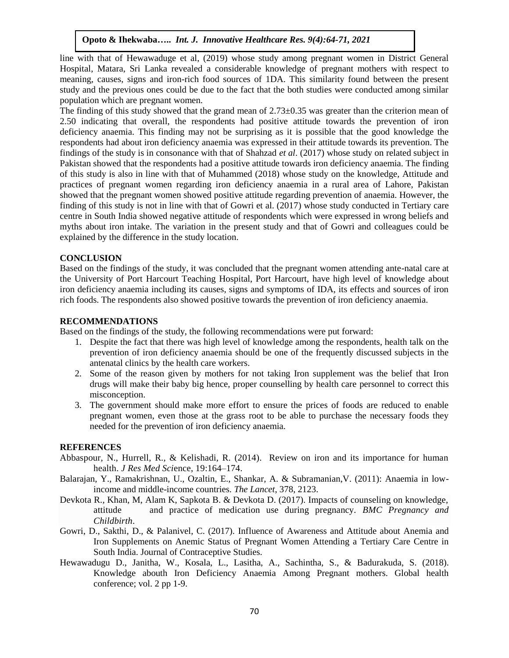line with that of Hewawaduge et al, (2019) whose study among pregnant women in District General Hospital, Matara, Sri Lanka revealed a considerable knowledge of pregnant mothers with respect to meaning, causes, signs and iron-rich food sources of 1DA. This similarity found between the present study and the previous ones could be due to the fact that the both studies were conducted among similar population which are pregnant women.

The finding of this study showed that the grand mean of 2.73±0.35 was greater than the criterion mean of 2.50 indicating that overall, the respondents had positive attitude towards the prevention of iron deficiency anaemia. This finding may not be surprising as it is possible that the good knowledge the respondents had about iron deficiency anaemia was expressed in their attitude towards its prevention. The findings of the study is in consonance with that of Shahzad *et al*. (2017) whose study on related subject in Pakistan showed that the respondents had a positive attitude towards iron deficiency anaemia. The finding of this study is also in line with that of Muhammed (2018) whose study on the knowledge, Attitude and practices of pregnant women regarding iron deficiency anaemia in a rural area of Lahore, Pakistan showed that the pregnant women showed positive attitude regarding prevention of anaemia. However, the finding of this study is not in line with that of Gowri et al. (2017) whose study conducted in Tertiary care centre in South India showed negative attitude of respondents which were expressed in wrong beliefs and myths about iron intake. The variation in the present study and that of Gowri and colleagues could be explained by the difference in the study location.

### **CONCLUSION**

Based on the findings of the study, it was concluded that the pregnant women attending ante-natal care at the University of Port Harcourt Teaching Hospital, Port Harcourt, have high level of knowledge about iron deficiency anaemia including its causes, signs and symptoms of IDA, its effects and sources of iron rich foods. The respondents also showed positive towards the prevention of iron deficiency anaemia.

### **RECOMMENDATIONS**

Based on the findings of the study, the following recommendations were put forward:

- 1. Despite the fact that there was high level of knowledge among the respondents, health talk on the prevention of iron deficiency anaemia should be one of the frequently discussed subjects in the antenatal clinics by the health care workers.
- 2. Some of the reason given by mothers for not taking Iron supplement was the belief that Iron drugs will make their baby big hence, proper counselling by health care personnel to correct this misconception.
- 3. The government should make more effort to ensure the prices of foods are reduced to enable pregnant women, even those at the grass root to be able to purchase the necessary foods they needed for the prevention of iron deficiency anaemia.

### **REFERENCES**

- Abbaspour, N., Hurrell, R., & Kelishadi, R. (2014). Review on iron and its importance for human health. *J Res Med Sci*ence, 19:164–174.
- Balarajan, Y., Ramakrishnan, U., Ozaltin, E., Shankar, A. & Subramanian,V. (2011): Anaemia in lowincome and middle-income countries. *The Lancet*, 378, 2123.
- Devkota R., Khan, M, Alam K, Sapkota B. & Devkota D. (2017). Impacts of counseling on knowledge, attitude and practice of medication use during pregnancy. *BMC Pregnancy and Childbirth*.
- Gowri, D., Sakthi, D., & Palanivel, C. (2017). Influence of Awareness and Attitude about Anemia and Iron Supplements on Anemic Status of Pregnant Women Attending a Tertiary Care Centre in South India. Journal of Contraceptive Studies.
- Hewawadugu D., Janitha, W., Kosala, L., Lasitha, A., Sachintha, S., & Badurakuda, S. (2018). Knowledge abouth Iron Deficiency Anaemia Among Pregnant mothers. Global health conference; vol. 2 pp 1-9.